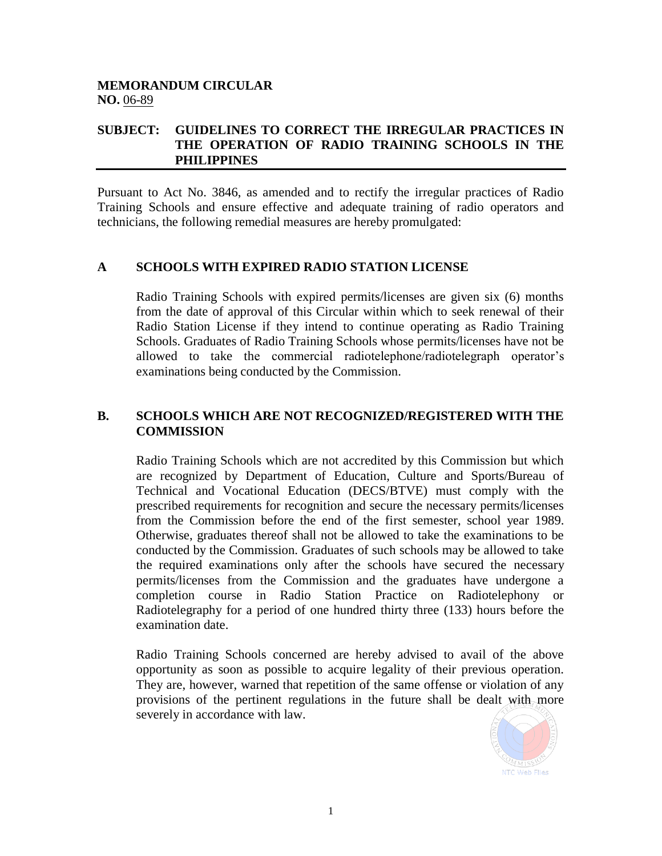## **MEMORANDUM CIRCULAR NO.** 06-89

## **SUBJECT: GUIDELINES TO CORRECT THE IRREGULAR PRACTICES IN THE OPERATION OF RADIO TRAINING SCHOOLS IN THE PHILIPPINES**

Pursuant to Act No. 3846, as amended and to rectify the irregular practices of Radio Training Schools and ensure effective and adequate training of radio operators and technicians, the following remedial measures are hereby promulgated:

## **A SCHOOLS WITH EXPIRED RADIO STATION LICENSE**

Radio Training Schools with expired permits/licenses are given six (6) months from the date of approval of this Circular within which to seek renewal of their Radio Station License if they intend to continue operating as Radio Training Schools. Graduates of Radio Training Schools whose permits/licenses have not be allowed to take the commercial radiotelephone/radiotelegraph operator's examinations being conducted by the Commission.

## **B. SCHOOLS WHICH ARE NOT RECOGNIZED/REGISTERED WITH THE COMMISSION**

Radio Training Schools which are not accredited by this Commission but which are recognized by Department of Education, Culture and Sports/Bureau of Technical and Vocational Education (DECS/BTVE) must comply with the prescribed requirements for recognition and secure the necessary permits/licenses from the Commission before the end of the first semester, school year 1989. Otherwise, graduates thereof shall not be allowed to take the examinations to be conducted by the Commission. Graduates of such schools may be allowed to take the required examinations only after the schools have secured the necessary permits/licenses from the Commission and the graduates have undergone a completion course in Radio Station Practice on Radiotelephony or Radiotelegraphy for a period of one hundred thirty three (133) hours before the examination date.

Radio Training Schools concerned are hereby advised to avail of the above opportunity as soon as possible to acquire legality of their previous operation. They are, however, warned that repetition of the same offense or violation of any provisions of the pertinent regulations in the future shall be dealt with more severely in accordance with law.